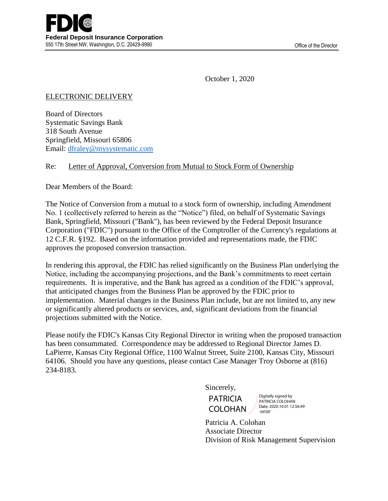October 1, 2020

## ELECTRONIC DELIVERY

Board of Directors Systematic Savings Bank 318 South Avenue Springfield, Missouri 65806 Email: [dfraley@mysystematic.com](mailto:dfraley@mysystematic.com)

## Re: Letter of Approval, Conversion from Mutual to Stock Form of Ownership

Dear Members of the Board:

The Notice of Conversion from a mutual to a stock form of ownership, including Amendment No. 1 (collectively referred to herein as the "Notice") filed, on behalf of Systematic Savings Bank, Springfield, Missouri ("Bank"), has been reviewed by the Federal Deposit Insurance Corporation ("FDIC") pursuant to the Office of the Comptroller of the Currency's regulations at 12 C.F.R. §192. Based on the information provided and representations made, the FDIC approves the proposed conversion transaction.

In rendering this approval, the FDIC has relied significantly on the Business Plan underlying the Notice, including the accompanying projections, and the Bank's commitments to meet certain requirements. It is imperative, and the Bank has agreed as a condition of the FDIC's approval, that anticipated changes from the Business Plan be approved by the FDIC prior to implementation. Material changes in the Business Plan include, but are not limited to, any new or significantly altered products or services, and, significant deviations from the financial projections submitted with the Notice.

Please notify the FDIC's Kansas City Regional Director in writing when the proposed transaction has been consummated. Correspondence may be addressed to Regional Director James D. LaPierre, Kansas City Regional Office, 1100 Walnut Street, Suite 2100, Kansas City, Missouri 64106. Should you have any questions, please contact Case Manager Troy Osborne at (816) 234-8183.

Sincerely,

**PATRICIA** COLOHAN Digitally signed by PATRICIA COLOHAN Date: 2020 10:01 12:56:49 -04'00'

Patricia A. Colohan Associate Director Division of Risk Management Supervision